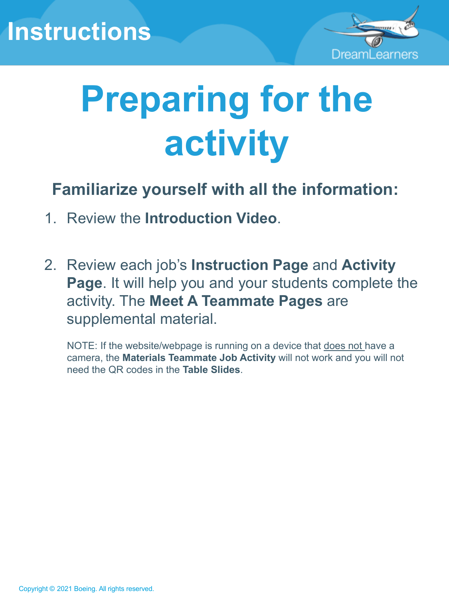### **Instructions**



## **Preparing for the activity**

**Familiarize yourself with all the information:**

- 1. Review the **Introduction Video**.
- 2. Review each job's **Instruction Page** and **Activity Page**. It will help you and your students complete the activity. The **Meet A Teammate Pages** are supplemental material.

NOTE: If the website/webpage is running on a device that does not have a camera, the **Materials Teammate Job Activity** will not work and you will not need the QR codes in the **Table Slides**.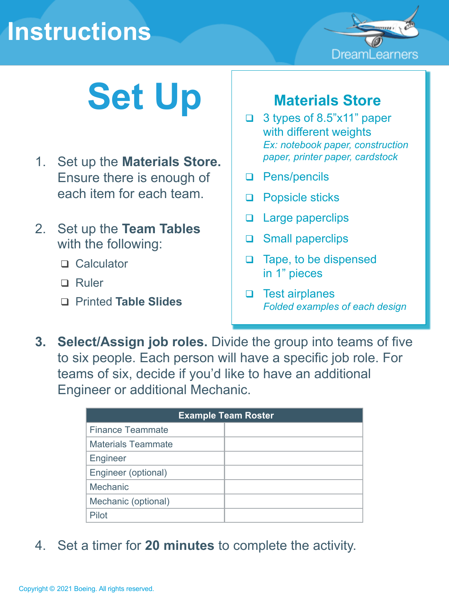### **Instructions**



## Set Up **Materials Store**

- 1. Set up the **Materials Store.** Ensure there is enough of each item for each team.
- 2. Set up the **Team Tables** with the following:
	- □ Calculator
	- □ Ruler
	- Printed **Table Slides**

- 3 types of 8.5"x11" paper with different weights *Ex: notebook paper, construction paper, printer paper, cardstock*
- D Pens/pencils
- **Q** Popsicle sticks
- **Q** Large paperclips
- □ Small paperclips
- □ Tape, to be dispensed in 1" pieces
- $\Box$  Test airplanes *Folded examples of each design*
- **3. Select/Assign job roles.** Divide the group into teams of five to six people. Each person will have a specific job role. For teams of six, decide if you'd like to have an additional Engineer or additional Mechanic.

| <b>Example Team Roster</b> |  |
|----------------------------|--|
| <b>Finance Teammate</b>    |  |
| <b>Materials Teammate</b>  |  |
| Engineer                   |  |
| Engineer (optional)        |  |
| Mechanic                   |  |
| Mechanic (optional)        |  |
| Pilot                      |  |

4. Set a timer for **20 minutes** to complete the activity.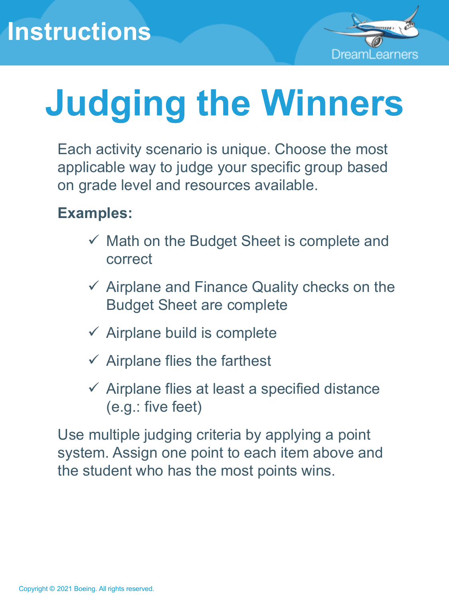

# **Judging the Winners**

Each activity scenario is unique. Choose the most applicable way to judge your specific group based on grade level and resources available.

### **Examples:**

- $\checkmark$  Math on the Budget Sheet is complete and correct
- $\checkmark$  Airplane and Finance Quality checks on the Budget Sheet are complete
- $\checkmark$  Airplane build is complete
- $\checkmark$  Airplane flies the farthest
- $\checkmark$  Airplane flies at least a specified distance (e.g.: five feet)

Use multiple judging criteria by applying a point system. Assign one point to each item above and the student who has the most points wins.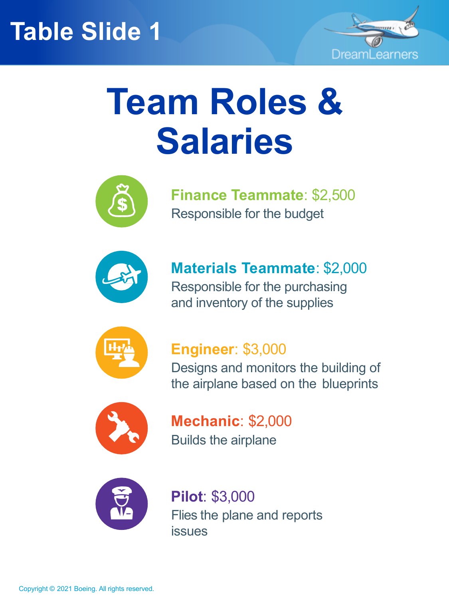

## **Team Roles & Salaries**



**Finance Teammate**: \$2,500 Responsible for the budget



**Materials Teammate**: \$2,000 Responsible for the purchasing and inventory of the supplies



### **Engineer**: \$3,000

Designs and monitors the building of the airplane based on the blueprints



**Mechanic**: \$2,000 Builds the airplane



**Pilot**: \$3,000 Flies the plane and reports issues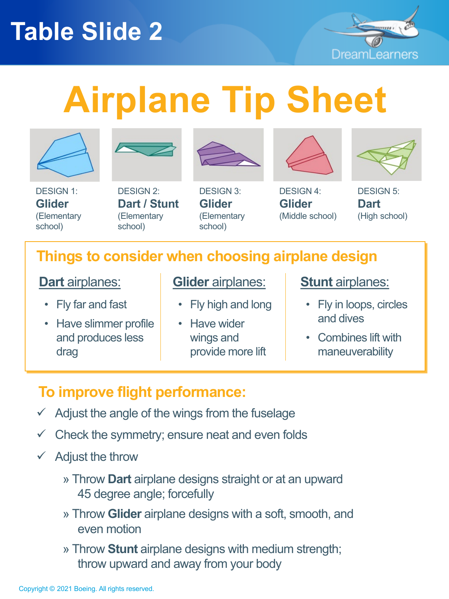

# **Airplane Tip Sheet**







DESIGN 2: **Dart / Stunt** (Elementary school)

DESIGN 3: **Glider**  (Elementary







DESIGN 5: **Dart**  (High school)

### **Things to consider when choosing airplane design**

school)

#### **Dart** airplanes:

- Fly far and fast
- Have slimmer profile and produces less drag
- **Glider** airplanes:
	- Fly high and long
	- Have wider wings and provide more lift

#### **Stunt** airplanes:

- Fly in loops, circles and dives
- Combines lift with maneuverability

### **To improve flight performance:**

- $\checkmark$  Adjust the angle of the wings from the fuselage
- $\checkmark$  Check the symmetry; ensure neat and even folds
- $\checkmark$  Adjust the throw
	- » Throw **Dart** airplane designs straight or at an upward 45 degree angle; forcefully
	- » Throw **Glider** airplane designs with a soft, smooth, and even motion
	- » Throw **Stunt** airplane designs with medium strength; throw upward and away from your body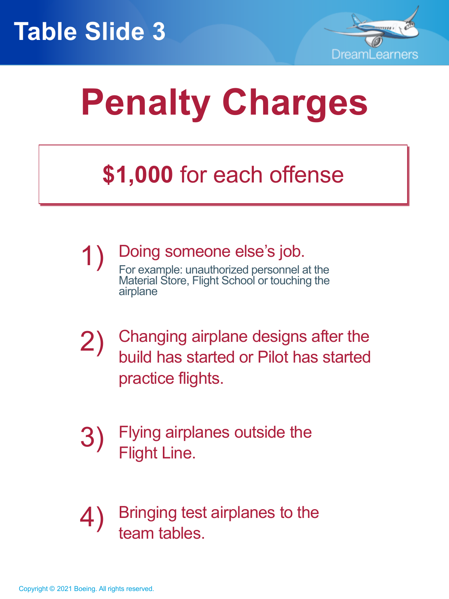



## **Penalty Charges**

### **\$1,000** for each offense

- 1) Doing someone else's job. For example: unauthorized personnel at the Material Store, Flight School or touching the airplane
- 2) Changing airplane designs after the build has started or Pilot has started practice flights.
- 3) Flying airplanes outside the Flight Line.
- 4) Bringing test airplanes to the team tables.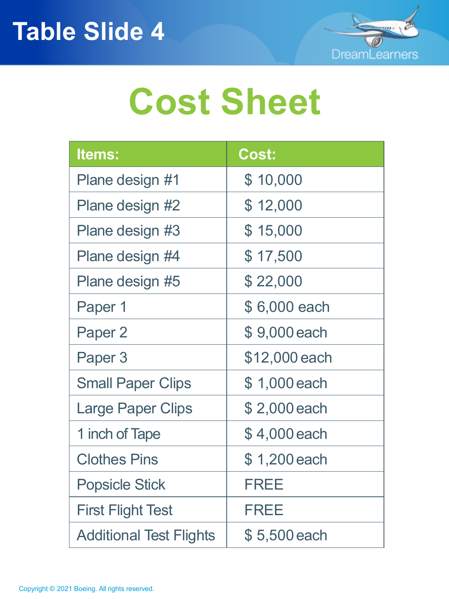

## **Cost Sheet**

| <b>Items:</b>                  | <b>Cost:</b>  |
|--------------------------------|---------------|
| Plane design #1                | \$10,000      |
| Plane design #2                | \$12,000      |
| Plane design #3                | \$15,000      |
| Plane design #4                | \$17,500      |
| Plane design #5                | \$22,000      |
| Paper 1                        | \$6,000 each  |
| Paper 2                        | \$9,000 each  |
| Paper 3                        | \$12,000 each |
| <b>Small Paper Clips</b>       | \$1,000 each  |
| Large Paper Clips              | \$2,000 each  |
| 1 inch of Tape                 | \$4,000 each  |
| <b>Clothes Pins</b>            | \$1,200 each  |
| <b>Popsicle Stick</b>          | <b>FREE</b>   |
| <b>First Flight Test</b>       | <b>FREE</b>   |
| <b>Additional Test Flights</b> | \$5,500 each  |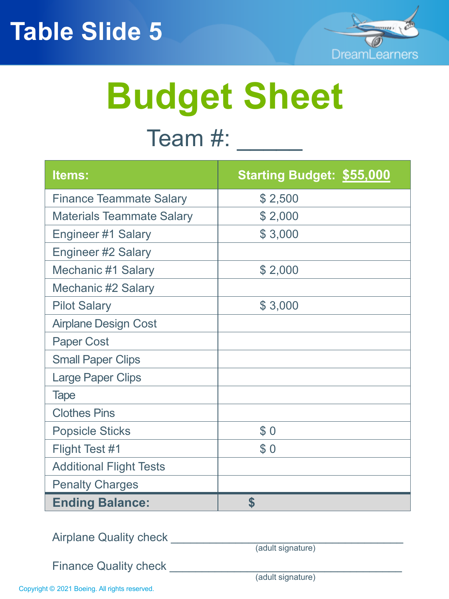

# **Budget Sheet**

### Team #: \_\_\_\_\_\_

| Items:                           | <b>Starting Budget: \$55,000</b> |
|----------------------------------|----------------------------------|
| <b>Finance Teammate Salary</b>   | \$2,500                          |
| <b>Materials Teammate Salary</b> | \$2,000                          |
| Engineer #1 Salary               | \$3,000                          |
| <b>Engineer #2 Salary</b>        |                                  |
| <b>Mechanic #1 Salary</b>        | \$2,000                          |
| <b>Mechanic #2 Salary</b>        |                                  |
| <b>Pilot Salary</b>              | \$3,000                          |
| <b>Airplane Design Cost</b>      |                                  |
| <b>Paper Cost</b>                |                                  |
| <b>Small Paper Clips</b>         |                                  |
| <b>Large Paper Clips</b>         |                                  |
| <b>Tape</b>                      |                                  |
| <b>Clothes Pins</b>              |                                  |
| <b>Popsicle Sticks</b>           | \$0                              |
| Flight Test #1                   | \$0                              |
| <b>Additional Flight Tests</b>   |                                  |
| <b>Penalty Charges</b>           |                                  |
| <b>Ending Balance:</b>           | \$                               |

Airplane Quality check \_\_\_\_\_\_\_\_\_\_\_\_\_\_\_\_\_\_\_\_\_\_\_\_\_\_\_\_\_\_\_\_\_\_\_\_

(adult signature)

Finance Quality check \_\_\_\_\_\_\_\_\_\_\_\_\_\_\_\_\_\_\_\_\_\_\_\_\_\_\_\_\_\_\_\_\_\_\_\_

(adult signature)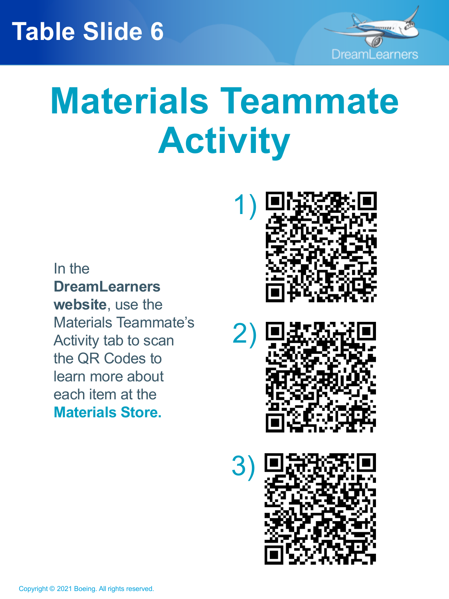

## **Materials Teammate Activity**

In the **DreamLearners website**, use the Materials Teammate's Activity tab to scan the QR Codes to learn more about each item at the **Materials Store.**





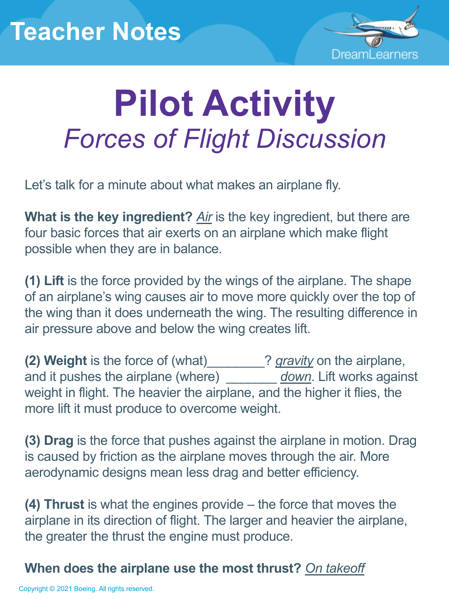

## **Pilot Activity** *Forces of Flight Discussion*

Let's talk for a minute about what makes an airplane fly.

**What is the key ingredient?** *Air* is the key ingredient, but there are four basic forces that air exerts on an airplane which make flight possible when they are in balance.

**(1) Lift** is the force provided by the wings of the airplane. The shape of an airplane's wing causes air to move more quickly over the top of the wing than it does underneath the wing. The resulting difference in air pressure above and below the wing creates lift.

**(2) Weight** is the force of (what)\_\_\_\_\_\_\_\_? *gravity* on the airplane, and it pushes the airplane (where) *down*. Lift works against weight in flight. The heavier the airplane, and the higher it flies, the more lift it must produce to overcome weight.

**(3) Drag** is the force that pushes against the airplane in motion. Drag is caused by friction as the airplane moves through the air. More aerodynamic designs mean less drag and better efficiency.

**(4) Thrust** is what the engines provide – the force that moves the airplane in its direction of flight. The larger and heavier the airplane, the greater the thrust the engine must produce.

#### **When does the airplane use the most thrust?** *On takeoff*